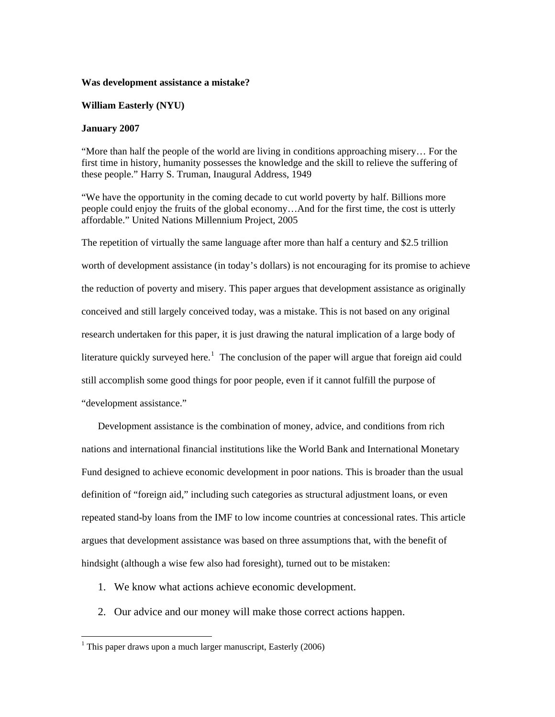#### **Was development assistance a mistake?**

## **William Easterly (NYU)**

#### **January 2007**

"More than half the people of the world are living in conditions approaching misery… For the first time in history, humanity possesses the knowledge and the skill to relieve the suffering of these people." Harry S. Truman, Inaugural Address, 1949

"We have the opportunity in the coming decade to cut world poverty by half. Billions more people could enjoy the fruits of the global economy…And for the first time, the cost is utterly affordable." United Nations Millennium Project, 2005

The repetition of virtually the same language after more than half a century and \$2.5 trillion worth of development assistance (in today's dollars) is not encouraging for its promise to achieve the reduction of poverty and misery. This paper argues that development assistance as originally conceived and still largely conceived today, was a mistake. This is not based on any original research undertaken for this paper, it is just drawing the natural implication of a large body of literature quickly surveyed here.<sup>[1](#page-0-0)</sup> The conclusion of the paper will argue that foreign aid could still accomplish some good things for poor people, even if it cannot fulfill the purpose of "development assistance."

Development assistance is the combination of money, advice, and conditions from rich nations and international financial institutions like the World Bank and International Monetary Fund designed to achieve economic development in poor nations. This is broader than the usual definition of "foreign aid," including such categories as structural adjustment loans, or even repeated stand-by loans from the IMF to low income countries at concessional rates. This article argues that development assistance was based on three assumptions that, with the benefit of hindsight (although a wise few also had foresight), turned out to be mistaken:

- 1. We know what actions achieve economic development.
- 2. Our advice and our money will make those correct actions happen.

 $\overline{a}$ 

<span id="page-0-0"></span><sup>&</sup>lt;sup>1</sup> This paper draws upon a much larger manuscript, Easterly  $(2006)$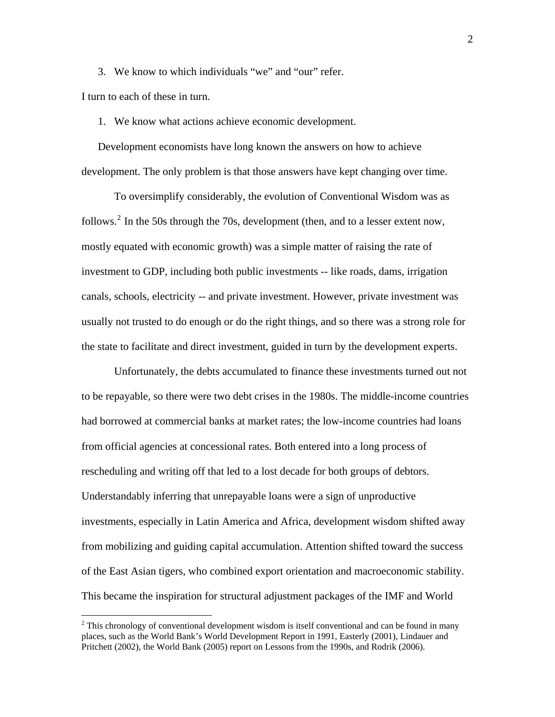3. We know to which individuals "we" and "our" refer.

I turn to each of these in turn.

 $\overline{a}$ 

1. We know what actions achieve economic development.

Development economists have long known the answers on how to achieve development. The only problem is that those answers have kept changing over time.

To oversimplify considerably, the evolution of Conventional Wisdom was as follows.<sup>[2](#page-1-0)</sup> In the 50s through the 70s, development (then, and to a lesser extent now, mostly equated with economic growth) was a simple matter of raising the rate of investment to GDP, including both public investments -- like roads, dams, irrigation canals, schools, electricity -- and private investment. However, private investment was usually not trusted to do enough or do the right things, and so there was a strong role for the state to facilitate and direct investment, guided in turn by the development experts.

Unfortunately, the debts accumulated to finance these investments turned out not to be repayable, so there were two debt crises in the 1980s. The middle-income countries had borrowed at commercial banks at market rates; the low-income countries had loans from official agencies at concessional rates. Both entered into a long process of rescheduling and writing off that led to a lost decade for both groups of debtors. Understandably inferring that unrepayable loans were a sign of unproductive investments, especially in Latin America and Africa, development wisdom shifted away from mobilizing and guiding capital accumulation. Attention shifted toward the success of the East Asian tigers, who combined export orientation and macroeconomic stability. This became the inspiration for structural adjustment packages of the IMF and World

<span id="page-1-0"></span> $2^2$  This chronology of conventional development wisdom is itself conventional and can be found in many places, such as the World Bank's World Development Report in 1991, Easterly (2001), Lindauer and Pritchett (2002), the World Bank (2005) report on Lessons from the 1990s, and Rodrik (2006).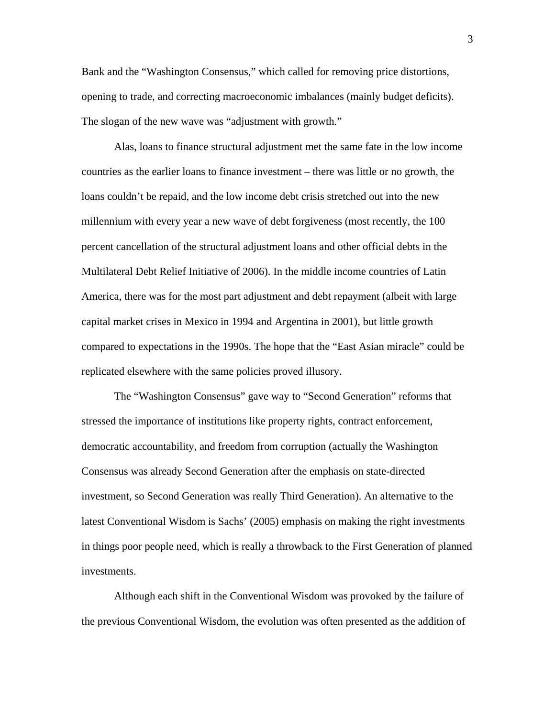Bank and the "Washington Consensus," which called for removing price distortions, opening to trade, and correcting macroeconomic imbalances (mainly budget deficits). The slogan of the new wave was "adjustment with growth."

Alas, loans to finance structural adjustment met the same fate in the low income countries as the earlier loans to finance investment – there was little or no growth, the loans couldn't be repaid, and the low income debt crisis stretched out into the new millennium with every year a new wave of debt forgiveness (most recently, the 100 percent cancellation of the structural adjustment loans and other official debts in the Multilateral Debt Relief Initiative of 2006). In the middle income countries of Latin America, there was for the most part adjustment and debt repayment (albeit with large capital market crises in Mexico in 1994 and Argentina in 2001), but little growth compared to expectations in the 1990s. The hope that the "East Asian miracle" could be replicated elsewhere with the same policies proved illusory.

The "Washington Consensus" gave way to "Second Generation" reforms that stressed the importance of institutions like property rights, contract enforcement, democratic accountability, and freedom from corruption (actually the Washington Consensus was already Second Generation after the emphasis on state-directed investment, so Second Generation was really Third Generation). An alternative to the latest Conventional Wisdom is Sachs' (2005) emphasis on making the right investments in things poor people need, which is really a throwback to the First Generation of planned investments.

Although each shift in the Conventional Wisdom was provoked by the failure of the previous Conventional Wisdom, the evolution was often presented as the addition of

3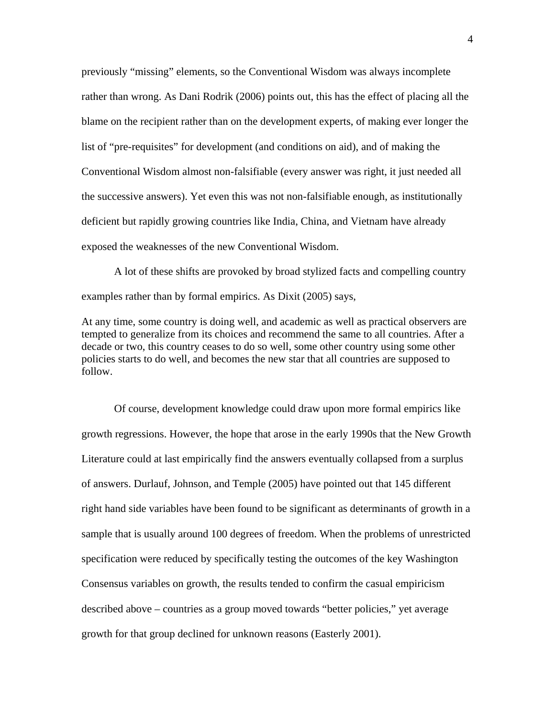previously "missing" elements, so the Conventional Wisdom was always incomplete rather than wrong. As Dani Rodrik (2006) points out, this has the effect of placing all the blame on the recipient rather than on the development experts, of making ever longer the list of "pre-requisites" for development (and conditions on aid), and of making the Conventional Wisdom almost non-falsifiable (every answer was right, it just needed all the successive answers). Yet even this was not non-falsifiable enough, as institutionally deficient but rapidly growing countries like India, China, and Vietnam have already exposed the weaknesses of the new Conventional Wisdom.

A lot of these shifts are provoked by broad stylized facts and compelling country examples rather than by formal empirics. As Dixit (2005) says,

At any time, some country is doing well, and academic as well as practical observers are tempted to generalize from its choices and recommend the same to all countries. After a decade or two, this country ceases to do so well, some other country using some other policies starts to do well, and becomes the new star that all countries are supposed to follow.

Of course, development knowledge could draw upon more formal empirics like growth regressions. However, the hope that arose in the early 1990s that the New Growth Literature could at last empirically find the answers eventually collapsed from a surplus of answers. Durlauf, Johnson, and Temple (2005) have pointed out that 145 different right hand side variables have been found to be significant as determinants of growth in a sample that is usually around 100 degrees of freedom. When the problems of unrestricted specification were reduced by specifically testing the outcomes of the key Washington Consensus variables on growth, the results tended to confirm the casual empiricism described above – countries as a group moved towards "better policies," yet average growth for that group declined for unknown reasons (Easterly 2001).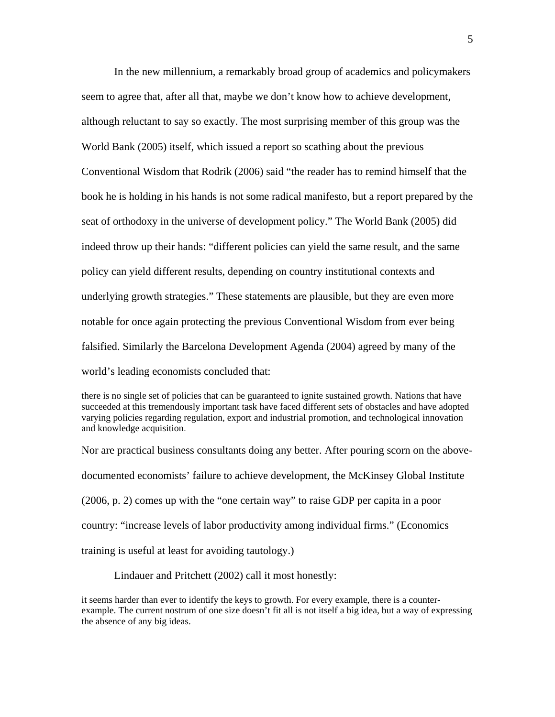In the new millennium, a remarkably broad group of academics and policymakers seem to agree that, after all that, maybe we don't know how to achieve development, although reluctant to say so exactly. The most surprising member of this group was the World Bank (2005) itself, which issued a report so scathing about the previous Conventional Wisdom that Rodrik (2006) said "the reader has to remind himself that the book he is holding in his hands is not some radical manifesto, but a report prepared by the seat of orthodoxy in the universe of development policy." The World Bank (2005) did indeed throw up their hands: "different policies can yield the same result, and the same policy can yield different results, depending on country institutional contexts and underlying growth strategies." These statements are plausible, but they are even more notable for once again protecting the previous Conventional Wisdom from ever being falsified. Similarly the Barcelona Development Agenda (2004) agreed by many of the world's leading economists concluded that:

Nor are practical business consultants doing any better. After pouring scorn on the abovedocumented economists' failure to achieve development, the McKinsey Global Institute (2006, p. 2) comes up with the "one certain way" to raise GDP per capita in a poor country: "increase levels of labor productivity among individual firms." (Economics training is useful at least for avoiding tautology.)

Lindauer and Pritchett (2002) call it most honestly:

it seems harder than ever to identify the keys to growth. For every example, there is a counterexample. The current nostrum of one size doesn't fit all is not itself a big idea, but a way of expressing the absence of any big ideas.

there is no single set of policies that can be guaranteed to ignite sustained growth. Nations that have succeeded at this tremendously important task have faced different sets of obstacles and have adopted varying policies regarding regulation, export and industrial promotion, and technological innovation and knowledge acquisition.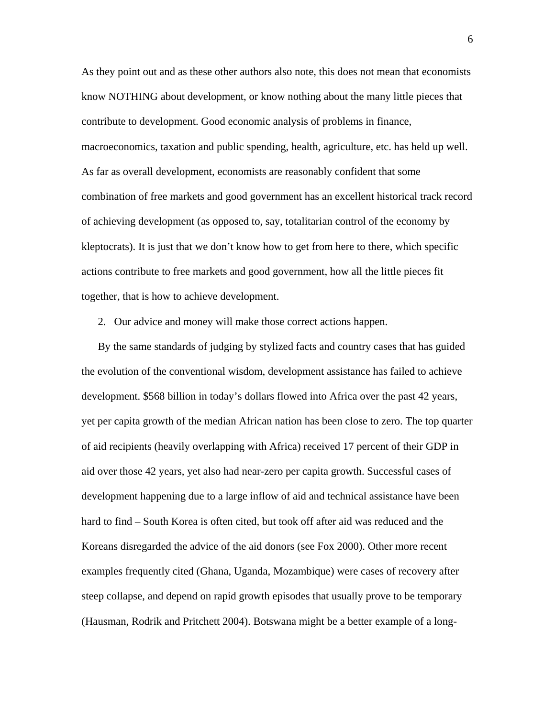As they point out and as these other authors also note, this does not mean that economists know NOTHING about development, or know nothing about the many little pieces that contribute to development. Good economic analysis of problems in finance, macroeconomics, taxation and public spending, health, agriculture, etc. has held up well. As far as overall development, economists are reasonably confident that some combination of free markets and good government has an excellent historical track record of achieving development (as opposed to, say, totalitarian control of the economy by kleptocrats). It is just that we don't know how to get from here to there, which specific actions contribute to free markets and good government, how all the little pieces fit together, that is how to achieve development.

2. Our advice and money will make those correct actions happen.

By the same standards of judging by stylized facts and country cases that has guided the evolution of the conventional wisdom, development assistance has failed to achieve development. \$568 billion in today's dollars flowed into Africa over the past 42 years, yet per capita growth of the median African nation has been close to zero. The top quarter of aid recipients (heavily overlapping with Africa) received 17 percent of their GDP in aid over those 42 years, yet also had near-zero per capita growth. Successful cases of development happening due to a large inflow of aid and technical assistance have been hard to find – South Korea is often cited, but took off after aid was reduced and the Koreans disregarded the advice of the aid donors (see Fox 2000). Other more recent examples frequently cited (Ghana, Uganda, Mozambique) were cases of recovery after steep collapse, and depend on rapid growth episodes that usually prove to be temporary (Hausman, Rodrik and Pritchett 2004). Botswana might be a better example of a long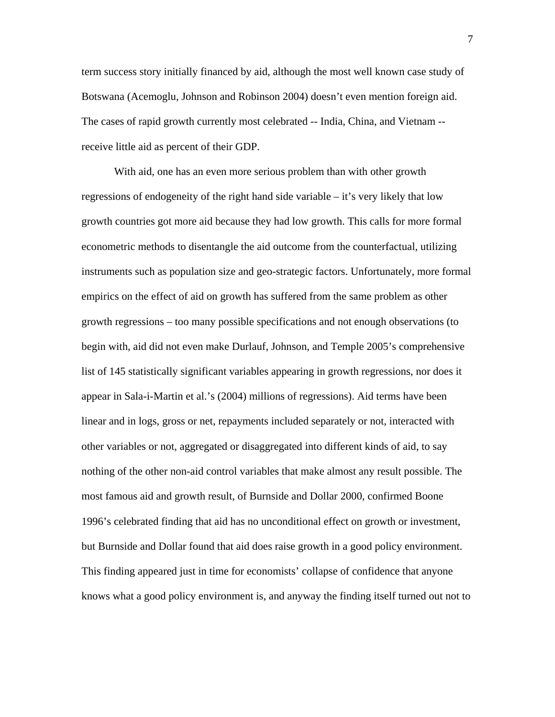term success story initially financed by aid, although the most well known case study of Botswana (Acemoglu, Johnson and Robinson 2004) doesn't even mention foreign aid. The cases of rapid growth currently most celebrated -- India, China, and Vietnam - receive little aid as percent of their GDP.

 With aid, one has an even more serious problem than with other growth regressions of endogeneity of the right hand side variable – it's very likely that low growth countries got more aid because they had low growth. This calls for more formal econometric methods to disentangle the aid outcome from the counterfactual, utilizing instruments such as population size and geo-strategic factors. Unfortunately, more formal empirics on the effect of aid on growth has suffered from the same problem as other growth regressions – too many possible specifications and not enough observations (to begin with, aid did not even make Durlauf, Johnson, and Temple 2005's comprehensive list of 145 statistically significant variables appearing in growth regressions, nor does it appear in Sala-i-Martin et al.'s (2004) millions of regressions). Aid terms have been linear and in logs, gross or net, repayments included separately or not, interacted with other variables or not, aggregated or disaggregated into different kinds of aid, to say nothing of the other non-aid control variables that make almost any result possible. The most famous aid and growth result, of Burnside and Dollar 2000, confirmed Boone 1996's celebrated finding that aid has no unconditional effect on growth or investment, but Burnside and Dollar found that aid does raise growth in a good policy environment. This finding appeared just in time for economists' collapse of confidence that anyone knows what a good policy environment is, and anyway the finding itself turned out not to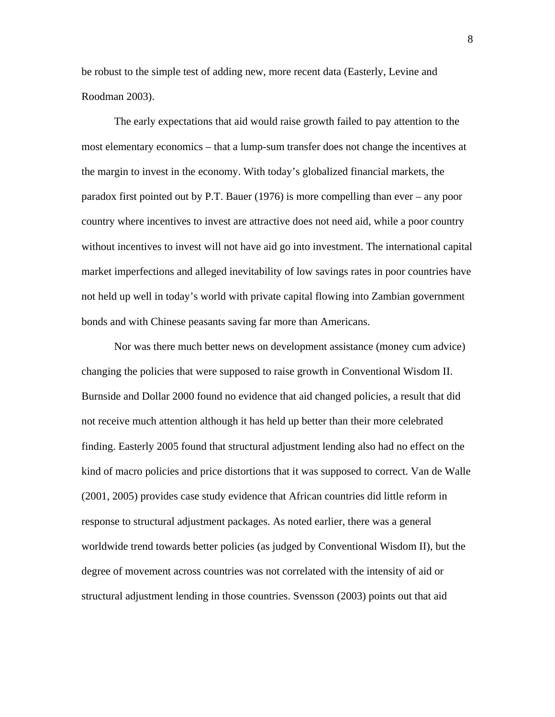be robust to the simple test of adding new, more recent data (Easterly, Levine and Roodman 2003).

 The early expectations that aid would raise growth failed to pay attention to the most elementary economics – that a lump-sum transfer does not change the incentives at the margin to invest in the economy. With today's globalized financial markets, the paradox first pointed out by P.T. Bauer (1976) is more compelling than ever – any poor country where incentives to invest are attractive does not need aid, while a poor country without incentives to invest will not have aid go into investment. The international capital market imperfections and alleged inevitability of low savings rates in poor countries have not held up well in today's world with private capital flowing into Zambian government bonds and with Chinese peasants saving far more than Americans.

 Nor was there much better news on development assistance (money cum advice) changing the policies that were supposed to raise growth in Conventional Wisdom II. Burnside and Dollar 2000 found no evidence that aid changed policies, a result that did not receive much attention although it has held up better than their more celebrated finding. Easterly 2005 found that structural adjustment lending also had no effect on the kind of macro policies and price distortions that it was supposed to correct. Van de Walle (2001, 2005) provides case study evidence that African countries did little reform in response to structural adjustment packages. As noted earlier, there was a general worldwide trend towards better policies (as judged by Conventional Wisdom II), but the degree of movement across countries was not correlated with the intensity of aid or structural adjustment lending in those countries. Svensson (2003) points out that aid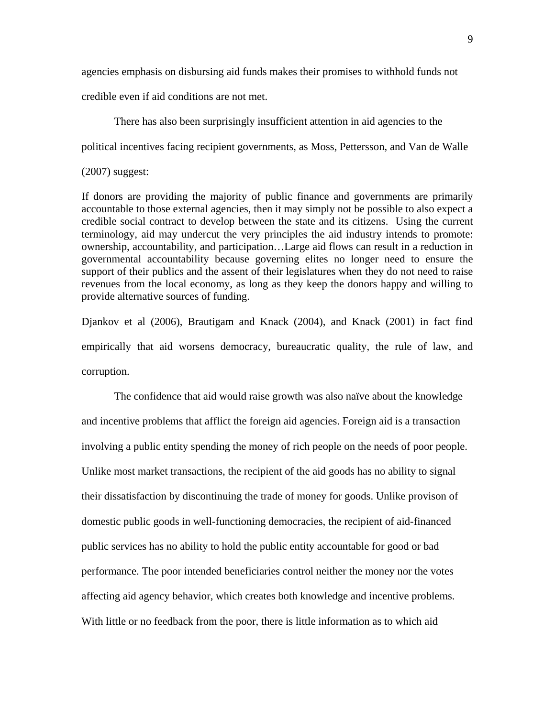agencies emphasis on disbursing aid funds makes their promises to withhold funds not

credible even if aid conditions are not met.

There has also been surprisingly insufficient attention in aid agencies to the

political incentives facing recipient governments, as Moss, Pettersson, and Van de Walle

## (2007) suggest:

If donors are providing the majority of public finance and governments are primarily accountable to those external agencies, then it may simply not be possible to also expect a credible social contract to develop between the state and its citizens. Using the current terminology, aid may undercut the very principles the aid industry intends to promote: ownership, accountability, and participation…Large aid flows can result in a reduction in governmental accountability because governing elites no longer need to ensure the support of their publics and the assent of their legislatures when they do not need to raise revenues from the local economy, as long as they keep the donors happy and willing to provide alternative sources of funding.

Djankov et al (2006), Brautigam and Knack (2004), and Knack (2001) in fact find empirically that aid worsens democracy, bureaucratic quality, the rule of law, and corruption.

 The confidence that aid would raise growth was also naïve about the knowledge and incentive problems that afflict the foreign aid agencies. Foreign aid is a transaction involving a public entity spending the money of rich people on the needs of poor people. Unlike most market transactions, the recipient of the aid goods has no ability to signal their dissatisfaction by discontinuing the trade of money for goods. Unlike provison of domestic public goods in well-functioning democracies, the recipient of aid-financed public services has no ability to hold the public entity accountable for good or bad performance. The poor intended beneficiaries control neither the money nor the votes affecting aid agency behavior, which creates both knowledge and incentive problems. With little or no feedback from the poor, there is little information as to which aid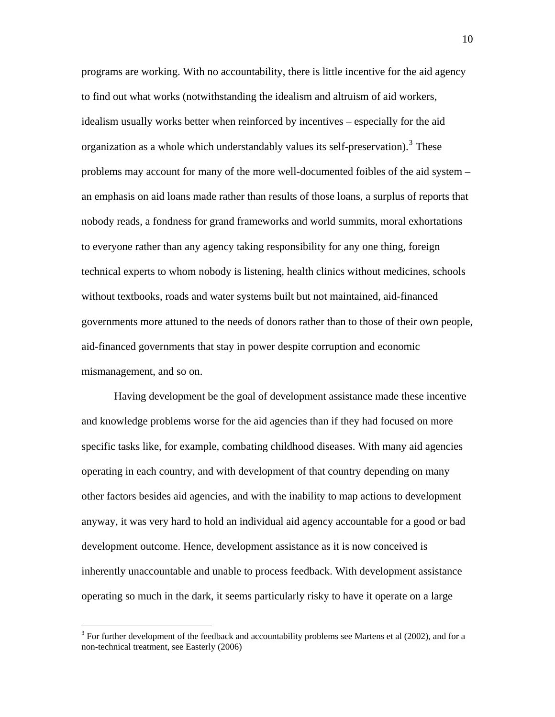programs are working. With no accountability, there is little incentive for the aid agency to find out what works (notwithstanding the idealism and altruism of aid workers, idealism usually works better when reinforced by incentives – especially for the aid organization as a whole which understandably values its self-preservation).<sup>[3](#page-9-0)</sup> These problems may account for many of the more well-documented foibles of the aid system – an emphasis on aid loans made rather than results of those loans, a surplus of reports that nobody reads, a fondness for grand frameworks and world summits, moral exhortations to everyone rather than any agency taking responsibility for any one thing, foreign technical experts to whom nobody is listening, health clinics without medicines, schools without textbooks, roads and water systems built but not maintained, aid-financed governments more attuned to the needs of donors rather than to those of their own people, aid-financed governments that stay in power despite corruption and economic mismanagement, and so on.

 Having development be the goal of development assistance made these incentive and knowledge problems worse for the aid agencies than if they had focused on more specific tasks like, for example, combating childhood diseases. With many aid agencies operating in each country, and with development of that country depending on many other factors besides aid agencies, and with the inability to map actions to development anyway, it was very hard to hold an individual aid agency accountable for a good or bad development outcome. Hence, development assistance as it is now conceived is inherently unaccountable and unable to process feedback. With development assistance operating so much in the dark, it seems particularly risky to have it operate on a large

 $\overline{a}$ 

<span id="page-9-0"></span> $3$  For further development of the feedback and accountability problems see Martens et al (2002), and for a non-technical treatment, see Easterly (2006)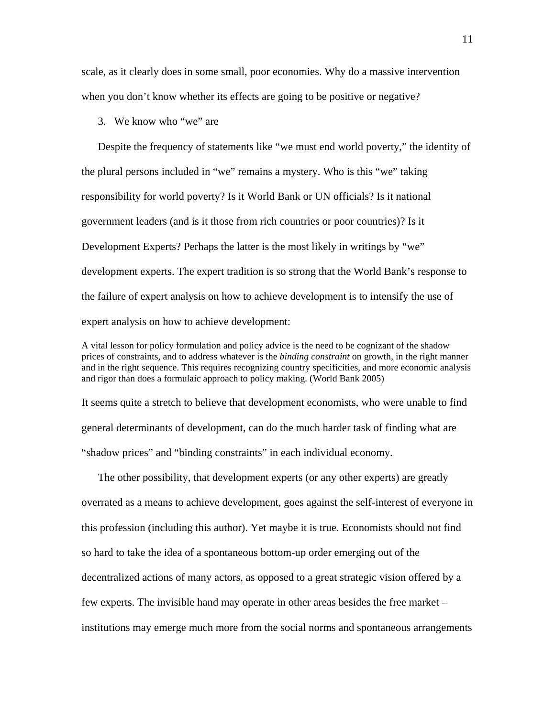scale, as it clearly does in some small, poor economies. Why do a massive intervention when you don't know whether its effects are going to be positive or negative?

3. We know who "we" are

Despite the frequency of statements like "we must end world poverty," the identity of the plural persons included in "we" remains a mystery. Who is this "we" taking responsibility for world poverty? Is it World Bank or UN officials? Is it national government leaders (and is it those from rich countries or poor countries)? Is it Development Experts? Perhaps the latter is the most likely in writings by "we" development experts. The expert tradition is so strong that the World Bank's response to the failure of expert analysis on how to achieve development is to intensify the use of expert analysis on how to achieve development:

A vital lesson for policy formulation and policy advice is the need to be cognizant of the shadow prices of constraints, and to address whatever is the *binding constraint* on growth*,* in the right manner and in the right sequence. This requires recognizing country specificities*,* and more economic analysis and rigor than does a formulaic approach to policy making. (World Bank 2005)

It seems quite a stretch to believe that development economists, who were unable to find general determinants of development, can do the much harder task of finding what are "shadow prices" and "binding constraints" in each individual economy.

The other possibility, that development experts (or any other experts) are greatly overrated as a means to achieve development, goes against the self-interest of everyone in this profession (including this author). Yet maybe it is true. Economists should not find so hard to take the idea of a spontaneous bottom-up order emerging out of the decentralized actions of many actors, as opposed to a great strategic vision offered by a few experts. The invisible hand may operate in other areas besides the free market – institutions may emerge much more from the social norms and spontaneous arrangements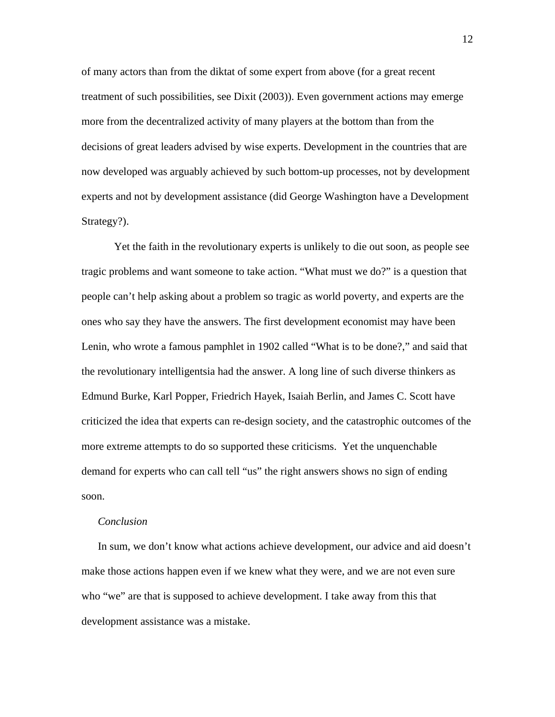of many actors than from the diktat of some expert from above (for a great recent treatment of such possibilities, see Dixit (2003)). Even government actions may emerge more from the decentralized activity of many players at the bottom than from the decisions of great leaders advised by wise experts. Development in the countries that are now developed was arguably achieved by such bottom-up processes, not by development experts and not by development assistance (did George Washington have a Development Strategy?).

 Yet the faith in the revolutionary experts is unlikely to die out soon, as people see tragic problems and want someone to take action. "What must we do?" is a question that people can't help asking about a problem so tragic as world poverty, and experts are the ones who say they have the answers. The first development economist may have been Lenin, who wrote a famous pamphlet in 1902 called "What is to be done?," and said that the revolutionary intelligentsia had the answer. A long line of such diverse thinkers as Edmund Burke, Karl Popper, Friedrich Hayek, Isaiah Berlin, and James C. Scott have criticized the idea that experts can re-design society, and the catastrophic outcomes of the more extreme attempts to do so supported these criticisms. Yet the unquenchable demand for experts who can call tell "us" the right answers shows no sign of ending soon.

# *Conclusion*

In sum, we don't know what actions achieve development, our advice and aid doesn't make those actions happen even if we knew what they were, and we are not even sure who "we" are that is supposed to achieve development. I take away from this that development assistance was a mistake.

12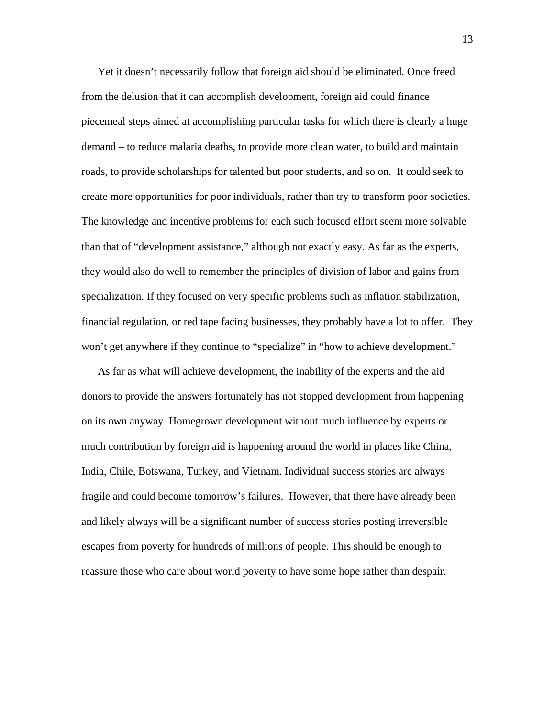Yet it doesn't necessarily follow that foreign aid should be eliminated. Once freed from the delusion that it can accomplish development, foreign aid could finance piecemeal steps aimed at accomplishing particular tasks for which there is clearly a huge demand – to reduce malaria deaths, to provide more clean water, to build and maintain roads, to provide scholarships for talented but poor students, and so on. It could seek to create more opportunities for poor individuals, rather than try to transform poor societies. The knowledge and incentive problems for each such focused effort seem more solvable than that of "development assistance," although not exactly easy. As far as the experts, they would also do well to remember the principles of division of labor and gains from specialization. If they focused on very specific problems such as inflation stabilization, financial regulation, or red tape facing businesses, they probably have a lot to offer. They won't get anywhere if they continue to "specialize" in "how to achieve development."

As far as what will achieve development, the inability of the experts and the aid donors to provide the answers fortunately has not stopped development from happening on its own anyway. Homegrown development without much influence by experts or much contribution by foreign aid is happening around the world in places like China, India, Chile, Botswana, Turkey, and Vietnam. Individual success stories are always fragile and could become tomorrow's failures. However, that there have already been and likely always will be a significant number of success stories posting irreversible escapes from poverty for hundreds of millions of people. This should be enough to reassure those who care about world poverty to have some hope rather than despair.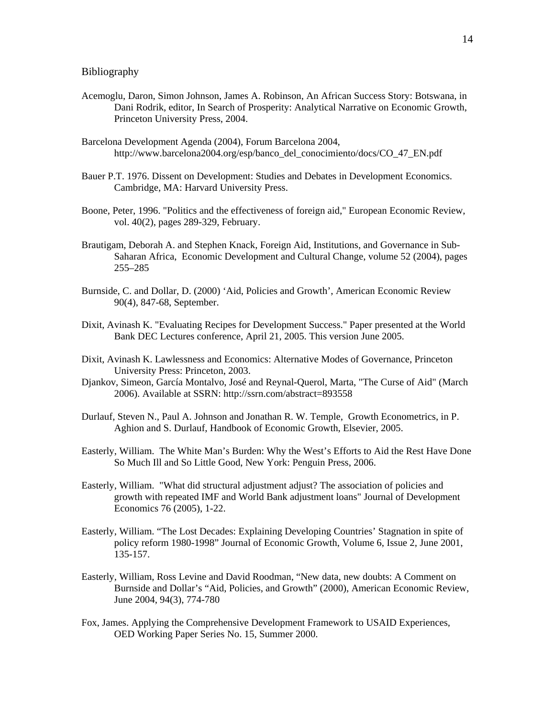## Bibliography

- Acemoglu, Daron, Simon Johnson, James A. Robinson, An African Success Story: Botswana, in Dani Rodrik, editor, In Search of Prosperity: Analytical Narrative on Economic Growth, Princeton University Press, 2004.
- Barcelona Development Agenda (2004), Forum Barcelona 2004, http://www.barcelona2004.org/esp/banco\_del\_conocimiento/docs/CO\_47\_EN.pdf
- Bauer P.T. 1976. Dissent on Development: Studies and Debates in Development Economics. Cambridge, MA: Harvard University Press.
- Boone, Peter, 1996. ["Politics and the effectiveness of foreign aid,](http://ideas.repec.org/a/eee/eecrev/v40y1996i2p289-329.html)" [European Economic Review,](http://ideas.repec.org/s/eee/eecrev.html) vol. 40(2), pages 289-329, February.
- Brautigam, Deborah A. and Stephen Knack, Foreign Aid, Institutions, and Governance in Sub-Saharan Africa, Economic Development and Cultural Change, volume 52 (2004), pages 255–285
- Burnside, C. and Dollar, D. (2000) 'Aid, Policies and Growth', American Economic Review 90(4), 847-68, September.
- Dixit, Avinash K. ["Evaluating Recipes for Development Success."](http://www.princeton.edu/%7Edixitak/home/Recipes.pdf) Paper presented at the World Bank DEC Lectures conference, April 21, 2005. This version June 2005.
- Dixit, Avinash K. Lawlessness and Economics: Alternative Modes of Governance, Princeton University Press: Princeton, 2003.
- Djankov, Simeon, García Montalvo, José and Reynal-Querol, Marta, "The Curse of Aid" (March 2006). Available at SSRN: <http://ssrn.com/abstract=893558>
- Durlauf, Steven N., Paul A. Johnson and Jonathan R. W. Temple, Growth Econometrics, in P. Aghion and S. Durlauf, Handbook of Economic Growth, Elsevier, 2005.
- Easterly, William. The White Man's Burden: Why the West's Efforts to Aid the Rest Have Done So Much Ill and So Little Good, New York: Penguin Press, 2006.
- Easterly, William. "What did structural adjustment adjust? The association of policies and growth with repeated IMF and World Bank adjustment loans" Journal of Development Economics 76 (2005), 1-22.
- Easterly, William. "The Lost Decades: Explaining Developing Countries' Stagnation in spite of policy reform 1980-1998" Journal of Economic Growth, Volume 6, Issue 2, June 2001, 135-157.
- Easterly, William, Ross Levine and David Roodman, "New data, new doubts: A Comment on Burnside and Dollar's "Aid, Policies, and Growth" (2000), American Economic Review, June 2004, 94(3), 774-780
- Fox, James. Applying the Comprehensive Development Framework to USAID Experiences, OED Working Paper Series No. 15, Summer 2000.